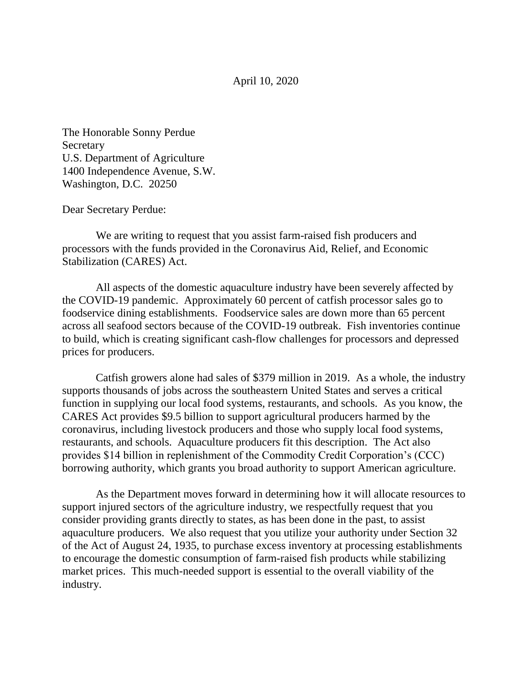April 10, 2020

The Honorable Sonny Perdue Secretary U.S. Department of Agriculture 1400 Independence Avenue, S.W. Washington, D.C. 20250

Dear Secretary Perdue:

 We are writing to request that you assist farm-raised fish producers and processors with the funds provided in the Coronavirus Aid, Relief, and Economic Stabilization (CARES) Act.

 All aspects of the domestic aquaculture industry have been severely affected by the COVID-19 pandemic. Approximately 60 percent of catfish processor sales go to foodservice dining establishments. Foodservice sales are down more than 65 percent across all seafood sectors because of the COVID-19 outbreak. Fish inventories continue to build, which is creating significant cash-flow challenges for processors and depressed prices for producers.

 Catfish growers alone had sales of \$379 million in 2019. As a whole, the industry supports thousands of jobs across the southeastern United States and serves a critical function in supplying our local food systems, restaurants, and schools. As you know, the CARES Act provides \$9.5 billion to support agricultural producers harmed by the coronavirus, including livestock producers and those who supply local food systems, restaurants, and schools. Aquaculture producers fit this description. The Act also provides \$14 billion in replenishment of the Commodity Credit Corporation's (CCC) borrowing authority, which grants you broad authority to support American agriculture.

 As the Department moves forward in determining how it will allocate resources to support injured sectors of the agriculture industry, we respectfully request that you consider providing grants directly to states, as has been done in the past, to assist aquaculture producers. We also request that you utilize your authority under Section 32 of the Act of August 24, 1935, to purchase excess inventory at processing establishments to encourage the domestic consumption of farm-raised fish products while stabilizing market prices. This much-needed support is essential to the overall viability of the industry.